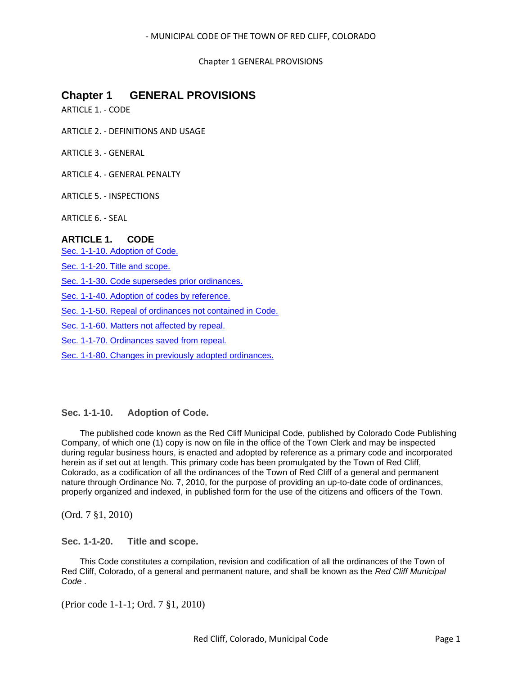Chapter 1 GENERAL PROVISIONS

# **Chapter 1 GENERAL PROVISIONS**

ARTICLE 1. - CODE

ARTICLE 2. - DEFINITIONS AND USAGE

ARTICLE 3. - GENERAL

ARTICLE 4. - GENERAL PENALTY

ARTICLE 5. - INSPECTIONS

ARTICLE 6. - SEAL

# **ARTICLE 1. CODE**

[Sec. 1-1-10. Adoption of Code.](#page-0-0)

[Sec. 1-1-20. Title and scope.](#page-0-1)

[Sec. 1-1-30. Code supersedes prior ordinances.](#page-1-0)

[Sec. 1-1-40. Adoption of codes by reference.](#page-1-1)

[Sec. 1-1-50. Repeal of ordinances not contained in Code.](#page-1-2)

[Sec. 1-1-60. Matters not affected by repeal.](#page-1-3)

[Sec. 1-1-70. Ordinances saved from repeal.](#page-1-4)

[Sec. 1-1-80. Changes in previously adopted ordinances.](#page-2-0)

# <span id="page-0-0"></span>**Sec. 1-1-10. Adoption of Code.**

The published code known as the Red Cliff Municipal Code, published by Colorado Code Publishing Company, of which one (1) copy is now on file in the office of the Town Clerk and may be inspected during regular business hours, is enacted and adopted by reference as a primary code and incorporated herein as if set out at length. This primary code has been promulgated by the Town of Red Cliff, Colorado, as a codification of all the ordinances of the Town of Red Cliff of a general and permanent nature through Ordinance No. 7, 2010, for the purpose of providing an up-to-date code of ordinances, properly organized and indexed, in published form for the use of the citizens and officers of the Town.

(Ord. 7 §1, 2010)

<span id="page-0-1"></span>**Sec. 1-1-20. Title and scope.**

This Code constitutes a compilation, revision and codification of all the ordinances of the Town of Red Cliff, Colorado, of a general and permanent nature, and shall be known as the *Red Cliff Municipal Code* .

(Prior code 1-1-1; Ord. 7 §1, 2010)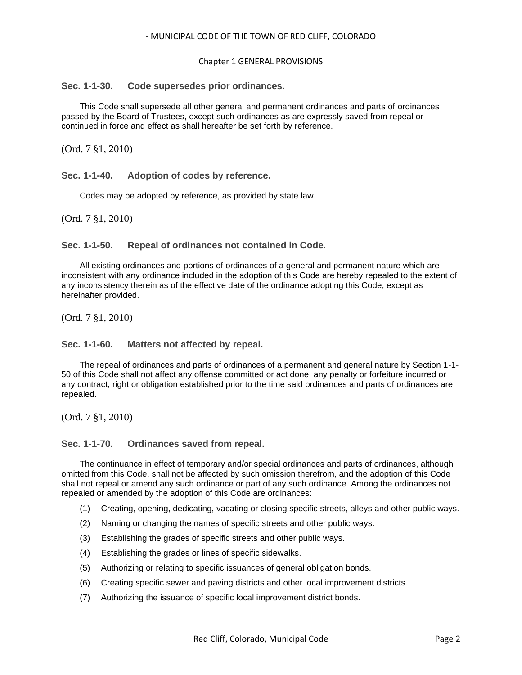### Chapter 1 GENERAL PROVISIONS

### <span id="page-1-0"></span>**Sec. 1-1-30. Code supersedes prior ordinances.**

This Code shall supersede all other general and permanent ordinances and parts of ordinances passed by the Board of Trustees, except such ordinances as are expressly saved from repeal or continued in force and effect as shall hereafter be set forth by reference.

(Ord. 7 §1, 2010)

<span id="page-1-1"></span>**Sec. 1-1-40. Adoption of codes by reference.**

Codes may be adopted by reference, as provided by state law.

(Ord. 7 §1, 2010)

# <span id="page-1-2"></span>**Sec. 1-1-50. Repeal of ordinances not contained in Code.**

All existing ordinances and portions of ordinances of a general and permanent nature which are inconsistent with any ordinance included in the adoption of this Code are hereby repealed to the extent of any inconsistency therein as of the effective date of the ordinance adopting this Code, except as hereinafter provided.

(Ord. 7 §1, 2010)

# <span id="page-1-3"></span>**Sec. 1-1-60. Matters not affected by repeal.**

The repeal of ordinances and parts of ordinances of a permanent and general nature by Section 1-1- 50 of this Code shall not affect any offense committed or act done, any penalty or forfeiture incurred or any contract, right or obligation established prior to the time said ordinances and parts of ordinances are repealed.

(Ord. 7 §1, 2010)

# <span id="page-1-4"></span>**Sec. 1-1-70. Ordinances saved from repeal.**

The continuance in effect of temporary and/or special ordinances and parts of ordinances, although omitted from this Code, shall not be affected by such omission therefrom, and the adoption of this Code shall not repeal or amend any such ordinance or part of any such ordinance. Among the ordinances not repealed or amended by the adoption of this Code are ordinances:

- (1) Creating, opening, dedicating, vacating or closing specific streets, alleys and other public ways.
- (2) Naming or changing the names of specific streets and other public ways.
- (3) Establishing the grades of specific streets and other public ways.
- (4) Establishing the grades or lines of specific sidewalks.
- (5) Authorizing or relating to specific issuances of general obligation bonds.
- (6) Creating specific sewer and paving districts and other local improvement districts.
- (7) Authorizing the issuance of specific local improvement district bonds.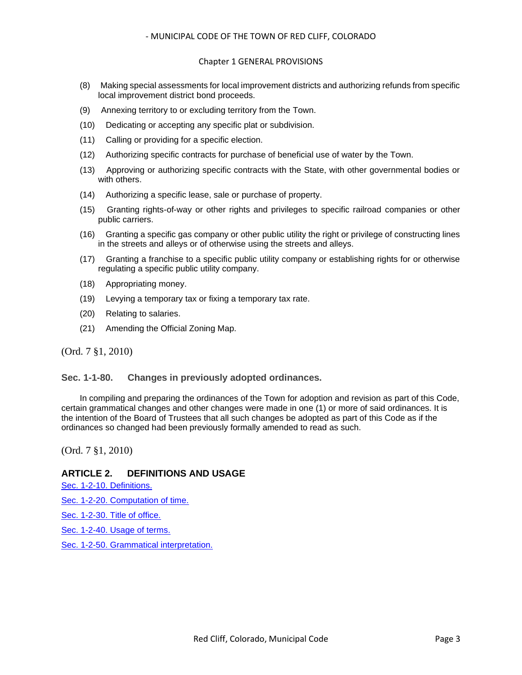### Chapter 1 GENERAL PROVISIONS

- (8) Making special assessments for local improvement districts and authorizing refunds from specific local improvement district bond proceeds.
- (9) Annexing territory to or excluding territory from the Town.
- (10) Dedicating or accepting any specific plat or subdivision.
- (11) Calling or providing for a specific election.
- (12) Authorizing specific contracts for purchase of beneficial use of water by the Town.
- (13) Approving or authorizing specific contracts with the State, with other governmental bodies or with others.
- (14) Authorizing a specific lease, sale or purchase of property.
- (15) Granting rights-of-way or other rights and privileges to specific railroad companies or other public carriers.
- (16) Granting a specific gas company or other public utility the right or privilege of constructing lines in the streets and alleys or of otherwise using the streets and alleys.
- (17) Granting a franchise to a specific public utility company or establishing rights for or otherwise regulating a specific public utility company.
- (18) Appropriating money.
- (19) Levying a temporary tax or fixing a temporary tax rate.
- (20) Relating to salaries.
- (21) Amending the Official Zoning Map.

(Ord. 7 §1, 2010)

# <span id="page-2-0"></span>**Sec. 1-1-80. Changes in previously adopted ordinances.**

In compiling and preparing the ordinances of the Town for adoption and revision as part of this Code, certain grammatical changes and other changes were made in one (1) or more of said ordinances. It is the intention of the Board of Trustees that all such changes be adopted as part of this Code as if the ordinances so changed had been previously formally amended to read as such.

(Ord. 7 §1, 2010)

# **ARTICLE 2. DEFINITIONS AND USAGE**

[Sec. 1-2-10. Definitions.](#page-3-0) [Sec. 1-2-20. Computation of time.](#page-4-0) [Sec. 1-2-30. Title of office.](#page-4-1) [Sec. 1-2-40. Usage of terms.](#page-4-2) [Sec. 1-2-50. Grammatical interpretation.](#page-4-3)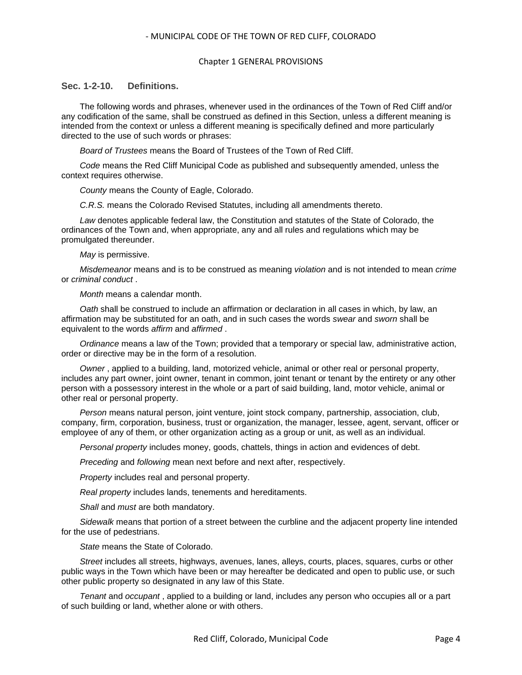### Chapter 1 GENERAL PROVISIONS

# <span id="page-3-0"></span>**Sec. 1-2-10. Definitions.**

The following words and phrases, whenever used in the ordinances of the Town of Red Cliff and/or any codification of the same, shall be construed as defined in this Section, unless a different meaning is intended from the context or unless a different meaning is specifically defined and more particularly directed to the use of such words or phrases:

*Board of Trustees* means the Board of Trustees of the Town of Red Cliff.

*Code* means the Red Cliff Municipal Code as published and subsequently amended, unless the context requires otherwise.

*County* means the County of Eagle, Colorado.

*C.R.S.* means the Colorado Revised Statutes, including all amendments thereto.

*Law* denotes applicable federal law, the Constitution and statutes of the State of Colorado, the ordinances of the Town and, when appropriate, any and all rules and regulations which may be promulgated thereunder.

*May* is permissive.

*Misdemeanor* means and is to be construed as meaning *violation* and is not intended to mean *crime* or *criminal conduct* .

*Month* means a calendar month.

*Oath* shall be construed to include an affirmation or declaration in all cases in which, by law, an affirmation may be substituted for an oath, and in such cases the words *swear* and *sworn* shall be equivalent to the words *affirm* and *affirmed* .

*Ordinance* means a law of the Town; provided that a temporary or special law, administrative action, order or directive may be in the form of a resolution.

*Owner* , applied to a building, land, motorized vehicle, animal or other real or personal property, includes any part owner, joint owner, tenant in common, joint tenant or tenant by the entirety or any other person with a possessory interest in the whole or a part of said building, land, motor vehicle, animal or other real or personal property.

*Person* means natural person, joint venture, joint stock company, partnership, association, club, company, firm, corporation, business, trust or organization, the manager, lessee, agent, servant, officer or employee of any of them, or other organization acting as a group or unit, as well as an individual.

*Personal property* includes money, goods, chattels, things in action and evidences of debt.

*Preceding* and *following* mean next before and next after, respectively.

*Property* includes real and personal property.

*Real property* includes lands, tenements and hereditaments.

*Shall* and *must* are both mandatory.

*Sidewalk* means that portion of a street between the curbline and the adjacent property line intended for the use of pedestrians.

*State* means the State of Colorado.

*Street* includes all streets, highways, avenues, lanes, alleys, courts, places, squares, curbs or other public ways in the Town which have been or may hereafter be dedicated and open to public use, or such other public property so designated in any law of this State.

*Tenant* and *occupant* , applied to a building or land, includes any person who occupies all or a part of such building or land, whether alone or with others.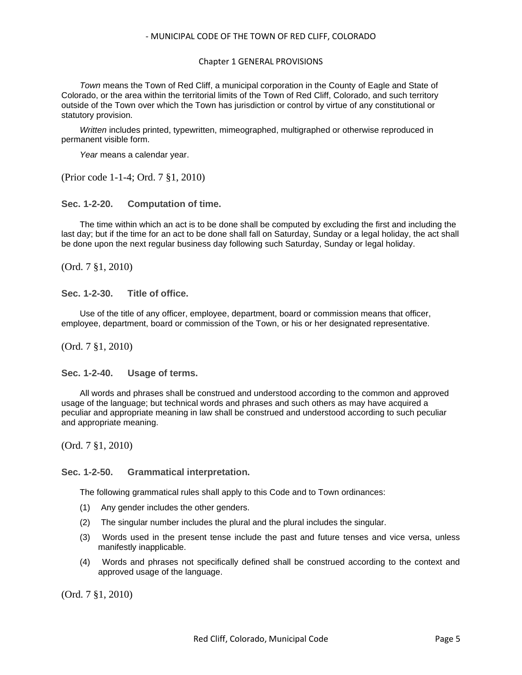### Chapter 1 GENERAL PROVISIONS

*Town* means the Town of Red Cliff, a municipal corporation in the County of Eagle and State of Colorado, or the area within the territorial limits of the Town of Red Cliff, Colorado, and such territory outside of the Town over which the Town has jurisdiction or control by virtue of any constitutional or statutory provision.

*Written* includes printed, typewritten, mimeographed, multigraphed or otherwise reproduced in permanent visible form.

*Year* means a calendar year.

(Prior code 1-1-4; Ord. 7 §1, 2010)

<span id="page-4-0"></span>**Sec. 1-2-20. Computation of time.**

The time within which an act is to be done shall be computed by excluding the first and including the last day; but if the time for an act to be done shall fall on Saturday, Sunday or a legal holiday, the act shall be done upon the next regular business day following such Saturday, Sunday or legal holiday.

(Ord. 7 §1, 2010)

<span id="page-4-1"></span>**Sec. 1-2-30. Title of office.**

Use of the title of any officer, employee, department, board or commission means that officer, employee, department, board or commission of the Town, or his or her designated representative.

(Ord. 7 §1, 2010)

<span id="page-4-2"></span>**Sec. 1-2-40. Usage of terms.**

All words and phrases shall be construed and understood according to the common and approved usage of the language; but technical words and phrases and such others as may have acquired a peculiar and appropriate meaning in law shall be construed and understood according to such peculiar and appropriate meaning.

(Ord. 7 §1, 2010)

### <span id="page-4-3"></span>**Sec. 1-2-50. Grammatical interpretation.**

The following grammatical rules shall apply to this Code and to Town ordinances:

- (1) Any gender includes the other genders.
- (2) The singular number includes the plural and the plural includes the singular.
- (3) Words used in the present tense include the past and future tenses and vice versa, unless manifestly inapplicable.
- (4) Words and phrases not specifically defined shall be construed according to the context and approved usage of the language.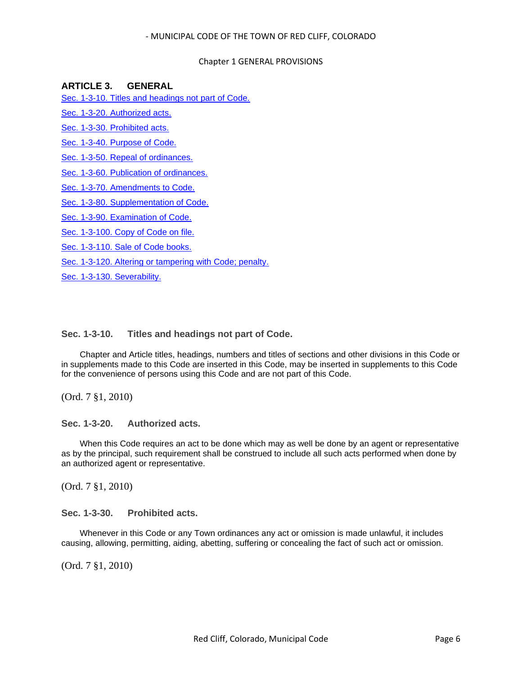### Chapter 1 GENERAL PROVISIONS

### **ARTICLE 3. GENERAL**

[Sec. 1-3-10. Titles and headings not part of Code.](#page-5-0)

[Sec. 1-3-20. Authorized acts.](#page-5-1)

[Sec. 1-3-30. Prohibited acts.](#page-5-2)

[Sec. 1-3-40. Purpose of Code.](#page-6-0)

[Sec. 1-3-50. Repeal of ordinances.](#page-6-1)

[Sec. 1-3-60. Publication of ordinances.](#page-6-2)

[Sec. 1-3-70. Amendments to Code.](#page-6-3)

[Sec. 1-3-80. Supplementation of Code.](#page-6-4)

[Sec. 1-3-90. Examination of Code.](#page-7-0)

[Sec. 1-3-100. Copy of Code on file.](#page-7-1)

[Sec. 1-3-110. Sale of Code books.](#page-7-2)

[Sec. 1-3-120. Altering or tampering with Code; penalty.](#page-7-3)

[Sec. 1-3-130. Severability.](#page-7-4)

### <span id="page-5-0"></span>**Sec. 1-3-10. Titles and headings not part of Code.**

Chapter and Article titles, headings, numbers and titles of sections and other divisions in this Code or in supplements made to this Code are inserted in this Code, may be inserted in supplements to this Code for the convenience of persons using this Code and are not part of this Code.

(Ord. 7 §1, 2010)

<span id="page-5-1"></span>**Sec. 1-3-20. Authorized acts.**

When this Code requires an act to be done which may as well be done by an agent or representative as by the principal, such requirement shall be construed to include all such acts performed when done by an authorized agent or representative.

(Ord. 7 §1, 2010)

<span id="page-5-2"></span>**Sec. 1-3-30. Prohibited acts.**

Whenever in this Code or any Town ordinances any act or omission is made unlawful, it includes causing, allowing, permitting, aiding, abetting, suffering or concealing the fact of such act or omission.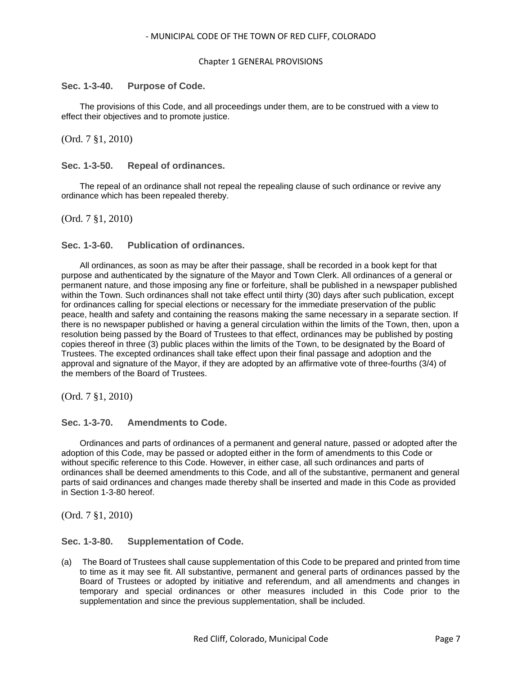### Chapter 1 GENERAL PROVISIONS

### <span id="page-6-0"></span>**Sec. 1-3-40. Purpose of Code.**

The provisions of this Code, and all proceedings under them, are to be construed with a view to effect their objectives and to promote justice.

(Ord. 7 §1, 2010)

### <span id="page-6-1"></span>**Sec. 1-3-50. Repeal of ordinances.**

The repeal of an ordinance shall not repeal the repealing clause of such ordinance or revive any ordinance which has been repealed thereby.

(Ord. 7 §1, 2010)

# <span id="page-6-2"></span>**Sec. 1-3-60. Publication of ordinances.**

All ordinances, as soon as may be after their passage, shall be recorded in a book kept for that purpose and authenticated by the signature of the Mayor and Town Clerk. All ordinances of a general or permanent nature, and those imposing any fine or forfeiture, shall be published in a newspaper published within the Town. Such ordinances shall not take effect until thirty (30) days after such publication, except for ordinances calling for special elections or necessary for the immediate preservation of the public peace, health and safety and containing the reasons making the same necessary in a separate section. If there is no newspaper published or having a general circulation within the limits of the Town, then, upon a resolution being passed by the Board of Trustees to that effect, ordinances may be published by posting copies thereof in three (3) public places within the limits of the Town, to be designated by the Board of Trustees. The excepted ordinances shall take effect upon their final passage and adoption and the approval and signature of the Mayor, if they are adopted by an affirmative vote of three-fourths (3/4) of the members of the Board of Trustees.

(Ord. 7 §1, 2010)

# <span id="page-6-3"></span>**Sec. 1-3-70. Amendments to Code.**

Ordinances and parts of ordinances of a permanent and general nature, passed or adopted after the adoption of this Code, may be passed or adopted either in the form of amendments to this Code or without specific reference to this Code. However, in either case, all such ordinances and parts of ordinances shall be deemed amendments to this Code, and all of the substantive, permanent and general parts of said ordinances and changes made thereby shall be inserted and made in this Code as provided in Section 1-3-80 hereof.

(Ord. 7 §1, 2010)

# <span id="page-6-4"></span>**Sec. 1-3-80. Supplementation of Code.**

(a) The Board of Trustees shall cause supplementation of this Code to be prepared and printed from time to time as it may see fit. All substantive, permanent and general parts of ordinances passed by the Board of Trustees or adopted by initiative and referendum, and all amendments and changes in temporary and special ordinances or other measures included in this Code prior to the supplementation and since the previous supplementation, shall be included.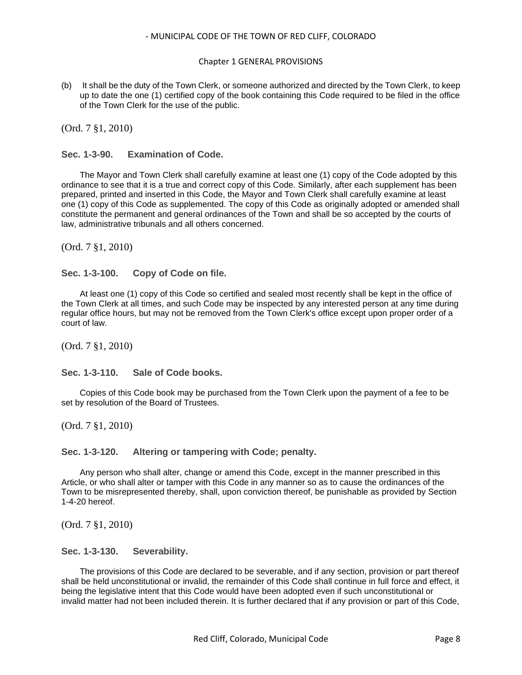### Chapter 1 GENERAL PROVISIONS

(b) It shall be the duty of the Town Clerk, or someone authorized and directed by the Town Clerk, to keep up to date the one (1) certified copy of the book containing this Code required to be filed in the office of the Town Clerk for the use of the public.

(Ord. 7 §1, 2010)

<span id="page-7-0"></span>**Sec. 1-3-90. Examination of Code.**

The Mayor and Town Clerk shall carefully examine at least one (1) copy of the Code adopted by this ordinance to see that it is a true and correct copy of this Code. Similarly, after each supplement has been prepared, printed and inserted in this Code, the Mayor and Town Clerk shall carefully examine at least one (1) copy of this Code as supplemented. The copy of this Code as originally adopted or amended shall constitute the permanent and general ordinances of the Town and shall be so accepted by the courts of law, administrative tribunals and all others concerned.

(Ord. 7 §1, 2010)

<span id="page-7-1"></span>**Sec. 1-3-100. Copy of Code on file.**

At least one (1) copy of this Code so certified and sealed most recently shall be kept in the office of the Town Clerk at all times, and such Code may be inspected by any interested person at any time during regular office hours, but may not be removed from the Town Clerk's office except upon proper order of a court of law.

(Ord. 7 §1, 2010)

<span id="page-7-2"></span>**Sec. 1-3-110. Sale of Code books.**

Copies of this Code book may be purchased from the Town Clerk upon the payment of a fee to be set by resolution of the Board of Trustees.

(Ord. 7 §1, 2010)

<span id="page-7-3"></span>**Sec. 1-3-120. Altering or tampering with Code; penalty.**

Any person who shall alter, change or amend this Code, except in the manner prescribed in this Article, or who shall alter or tamper with this Code in any manner so as to cause the ordinances of the Town to be misrepresented thereby, shall, upon conviction thereof, be punishable as provided by Section 1-4-20 hereof.

(Ord. 7 §1, 2010)

<span id="page-7-4"></span>**Sec. 1-3-130. Severability.**

The provisions of this Code are declared to be severable, and if any section, provision or part thereof shall be held unconstitutional or invalid, the remainder of this Code shall continue in full force and effect, it being the legislative intent that this Code would have been adopted even if such unconstitutional or invalid matter had not been included therein. It is further declared that if any provision or part of this Code,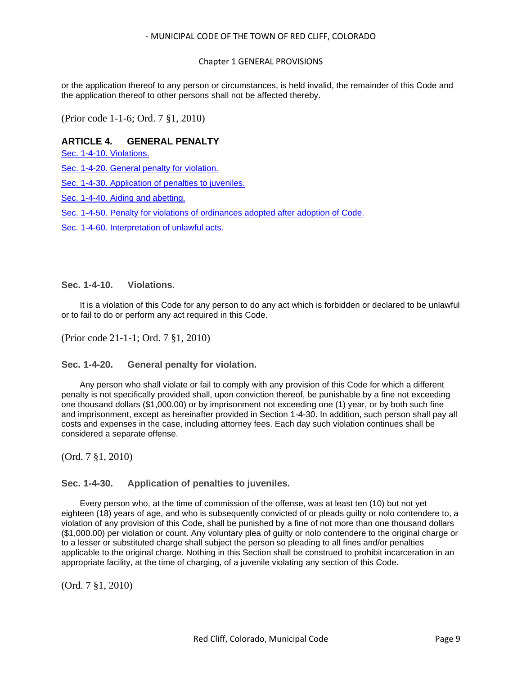# Chapter 1 GENERAL PROVISIONS

or the application thereof to any person or circumstances, is held invalid, the remainder of this Code and the application thereof to other persons shall not be affected thereby.

(Prior code 1-1-6; Ord. 7 §1, 2010)

# **ARTICLE 4. GENERAL PENALTY**

[Sec. 1-4-10. Violations.](#page-8-0)

[Sec. 1-4-20. General penalty for violation.](#page-8-1)

Sec. 1-4-30. Application [of penalties to juveniles.](#page-8-2)

[Sec. 1-4-40. Aiding and abetting.](#page-9-0)

[Sec. 1-4-50. Penalty for violations of ordinances adopted after adoption of Code.](#page-9-1)

[Sec. 1-4-60. Interpretation of unlawful acts.](#page-9-2)

### <span id="page-8-0"></span>**Sec. 1-4-10. Violations.**

It is a violation of this Code for any person to do any act which is forbidden or declared to be unlawful or to fail to do or perform any act required in this Code.

(Prior code 21-1-1; Ord. 7 §1, 2010)

### <span id="page-8-1"></span>**Sec. 1-4-20. General penalty for violation.**

Any person who shall violate or fail to comply with any provision of this Code for which a different penalty is not specifically provided shall, upon conviction thereof, be punishable by a fine not exceeding one thousand dollars (\$1,000.00) or by imprisonment not exceeding one (1) year, or by both such fine and imprisonment, except as hereinafter provided in Section 1-4-30. In addition, such person shall pay all costs and expenses in the case, including attorney fees. Each day such violation continues shall be considered a separate offense.

(Ord. 7 §1, 2010)

# <span id="page-8-2"></span>**Sec. 1-4-30. Application of penalties to juveniles.**

Every person who, at the time of commission of the offense, was at least ten (10) but not yet eighteen (18) years of age, and who is subsequently convicted of or pleads guilty or nolo contendere to, a violation of any provision of this Code, shall be punished by a fine of not more than one thousand dollars (\$1,000.00) per violation or count. Any voluntary plea of guilty or nolo contendere to the original charge or to a lesser or substituted charge shall subject the person so pleading to all fines and/or penalties applicable to the original charge. Nothing in this Section shall be construed to prohibit incarceration in an appropriate facility, at the time of charging, of a juvenile violating any section of this Code.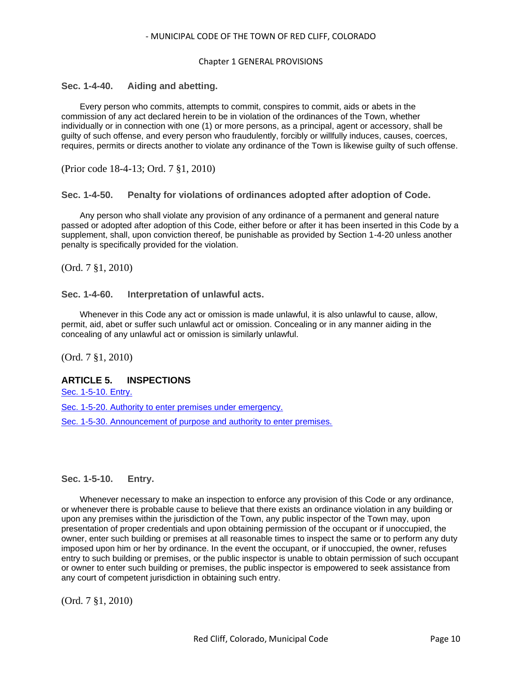### Chapter 1 GENERAL PROVISIONS

# <span id="page-9-0"></span>**Sec. 1-4-40. Aiding and abetting.**

Every person who commits, attempts to commit, conspires to commit, aids or abets in the commission of any act declared herein to be in violation of the ordinances of the Town, whether individually or in connection with one (1) or more persons, as a principal, agent or accessory, shall be guilty of such offense, and every person who fraudulently, forcibly or willfully induces, causes, coerces, requires, permits or directs another to violate any ordinance of the Town is likewise guilty of such offense.

(Prior code 18-4-13; Ord. 7 §1, 2010)

### <span id="page-9-1"></span>**Sec. 1-4-50. Penalty for violations of ordinances adopted after adoption of Code.**

Any person who shall violate any provision of any ordinance of a permanent and general nature passed or adopted after adoption of this Code, either before or after it has been inserted in this Code by a supplement, shall, upon conviction thereof, be punishable as provided by Section 1-4-20 unless another penalty is specifically provided for the violation.

(Ord. 7 §1, 2010)

### <span id="page-9-2"></span>**Sec. 1-4-60. Interpretation of unlawful acts.**

Whenever in this Code any act or omission is made unlawful, it is also unlawful to cause, allow, permit, aid, abet or suffer such unlawful act or omission. Concealing or in any manner aiding in the concealing of any unlawful act or omission is similarly unlawful.

(Ord. 7 §1, 2010)

# **ARTICLE 5. INSPECTIONS**

[Sec. 1-5-10. Entry.](#page-9-3)

[Sec. 1-5-20. Authority to enter premises under emergency.](#page-10-0)

[Sec. 1-5-30. Announcement of purpose and authority to enter premises.](#page-10-1)

# <span id="page-9-3"></span>**Sec. 1-5-10. Entry.**

Whenever necessary to make an inspection to enforce any provision of this Code or any ordinance, or whenever there is probable cause to believe that there exists an ordinance violation in any building or upon any premises within the jurisdiction of the Town, any public inspector of the Town may, upon presentation of proper credentials and upon obtaining permission of the occupant or if unoccupied, the owner, enter such building or premises at all reasonable times to inspect the same or to perform any duty imposed upon him or her by ordinance. In the event the occupant, or if unoccupied, the owner, refuses entry to such building or premises, or the public inspector is unable to obtain permission of such occupant or owner to enter such building or premises, the public inspector is empowered to seek assistance from any court of competent jurisdiction in obtaining such entry.